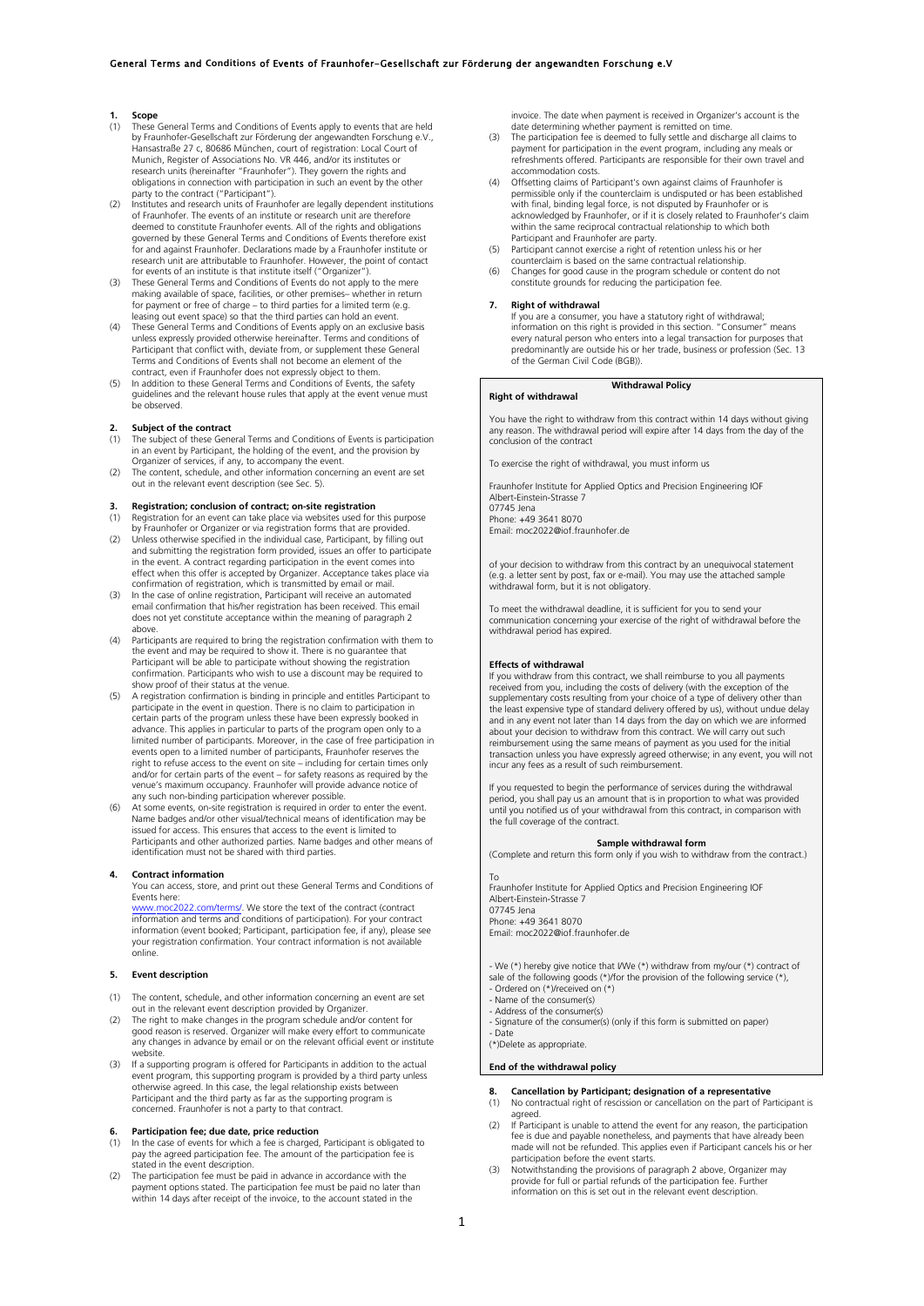# **1. Scope**<br>(1) **These**

- These General Terms and Conditions of Events apply to events that are held by Fraunhofer-Gesellschaft zur Förderung der angewandten Forschung e.V., Hansastraße 27 c, 80686 München, court of registration: Local Court of Munich, Register of Associations No. VR 446, and/or its institutes or research units (hereinafter "Fraunhofer"). They govern the rights and obligations in connection with participation in such an event by the other party to the contract ("Participant").
- (2) Institutes and research units of Fraunhofer are legally dependent institutions of Fraunhofer. The events of an institute or research unit are therefore deemed to constitute Fraunhofer events. All of the rights and obligations governed by these General Terms and Conditions of Events therefore exist for and against Fraunhofer. Declarations made by a Fraunhofer institute or research unit are attributable to Fraunhofer. However, the point of contact for events of an institute is that institute itself ("Organizer").
- (3) These General Terms and Conditions of Events do not apply to the mere making available of space, facilities, or other premises– whether in return<br>for payment or free of charge – to third parties for a limited term (e.g.<br>leasing out event space) so that the third parties can hold an event.<br>Th
- unless expressly provided otherwise hereinafter. Terms and conditions of Participant that conflict with, deviate from, or supplement these General Terms and Conditions of Events shall not become an element of the
- contract, even if Fraunhofer does not expressly object to them. (5) In addition to these General Terms and Conditions of Events, the safety guidelines and the relevant house rules that apply at the event venue must be observed.

### **2. Subject of the contract**

- The subject of these General Terms and Conditions of Events is participation in an event by Participant, the holding of the event, and the provision by Organizer of services, if any, to accompany the event.
- (2) The content, schedule, and other information concerning an event are set out in the relevant event description (see Sec. 5).

# **3. Registration; conclusion of contract; on-site registration**

- (1) Registration for an event can take place via websites used for this purpose by Fraunhofer or Organizer or via registration forms that are provided.
- (2) Unless otherwise specified in the individual case, Participant, by filling out and submitting the registration form provided, issues an offer to participate in the event. A contract regarding participation in the event comes into effect when this offer is accepted by Organizer. Acceptance takes place via confirmation of registration, which is transmitted by email or mail.
- (3) In the case of online registration, Participant will receive an automated email confirmation that his/her registration has been received. This email does not yet constitute acceptance within the meaning of paragraph 2 above.
- (4) Participants are required to bring the registration confirmation with them to the event and may be required to show it. There is no guarantee that Participant will be able to participate without showing the registration confirmation. Participants who wish to use a discount may be required to show proof of their status at the venue.
- (5) A registration confirmation is binding in principle and entitles Participant to participate in the event in question. There is no claim to participation in certain parts of the program unless these have been expressly booked in advance. This applies in particular to parts of the program open only to a limited number of participants. Moreover, in the case of free participation in events open to a limited number of participants, Fraunhofer reserves the right to refuse access to the event on site – including for certain times only and/or for certain parts of the event – for safety reasons as required by the venue's maximum occupancy. Fraunhofer will provide advance notice of
- any such non-binding participation wherever possible.<br>(6) At some events, on-site registration is required in order to enter the event.<br>Mame badges and/or other visual/technical means of identification may be issued for access. This ensures that access to the event is limited to Participants and other authorized parties. Name badges and other means of identification must not be shared with third parties.

### **4. Contract information**

You can access, store, and print out these General Terms and Conditions of Events here:

www.moc2022.com/terms/. We store the text of the contract (contract information and terms and conditions of participation). For your contract information (event booked; Participant, participation fee, if any), please see your registration confirmation. Your contract information is not available ,<br>online

# **5. Event description**

- (1) The content, schedule, and other information concerning an event are set
- out in the relevant event description provided by Organizer.<br>(2) The right to make changes in the program schedule and/or content for<br>good reason is reserved. Organizer will make every effort to communicate any changes in advance by email or on the relevant official event or institute website.
- (3) If a supporting program is offered for Participants in addition to the actual event program, this supporting program is provided by a third party unless<br>otherwise agreed. In this case, the legal relationship exists between<br>Participant and the third party as far as the supporting program is concerned. Fraunhofer is not a party to that contract.

# **6. Participation fee; due date, price reduction**

- (1) In the case of events for which a fee is charged, Participant is obligated to pay the agreed participation fee. The amount of the participation fee is stated in the event description. (2) The participation fee must be paid in advance in accordance with the
- payment options stated. The participation fee must be paid no later than within 14 days after receipt of the invoice, to the account stated in the

invoice. The date when payment is received in Organizer's account is the date determining whether payment is remitted on time.

- (3) The participation fee is deemed to fully settle and discharge all claims to payment for participation in the event program, including any meals or refreshments offered. Participants are responsible for their own travel and accommodation costs.
- Offsetting claims of Participant's own against claims of Fraunhofer is permissible only if the counterclaim is undisputed or has been established with final, binding legal force, is not disputed by Fraunhofer or is acknowledged by Fraunhofer, or if it is closely related to Fraunhofer's claim within the same reciprocal contractual relationship to which both
- Participant and Fraunhofer are party. (5) Participant cannot exercise a right of retention unless his or her
- counterclaim is based on the same contractual relationship. (6) Changes for good cause in the program schedule or content do not constitute grounds for reducing the participation fee.

### **7. Right of withdrawal**

If you are a consumer, you have a statutory right of withdrawal; information on this right is provided in this section. "Consumer" means every natural person who enters into a legal transaction for purposes that predominantly are outside his or her trade, business or profession (Sec. 13 of the German Civil Code (BGB)).

# **Right of withdrawal**

# **Withdrawal Policy**

You have the right to withdraw from this contract within 14 days without giving any reason. The withdrawal period will expire after 14 days from the day of the conclusion of the contract

To exercise the right of withdrawal, you must inform us

Fraunhofer Institute for Applied Optics and Precision Engineering IOF Albert-Einstein-Strasse 7 07745 Jena Phone: +49 3641 8070

Email: moc2022@iof.fraunhofer.de

of your decision to withdraw from this contract by an unequivocal statement (e.g. a letter sent by post, fax or e-mail). You may use the attached sample withdrawal form, but it is not obligatory.

To meet the withdrawal deadline, it is sufficient for you to send your communication concerning your exercise of the right of withdrawal before the withdrawal period has expired.

## **Effects of withdrawal**

If you withdraw from this contract, we shall reimburse to you all payments received from you, including the costs of delivery (with the exception of the supplementary costs resulting from your choice of a type of delivery other than the least expensive type of standard delivery offered by us), without undue delay and in any event not later than 14 days from the day on which we are informed about your decision to withdraw from this contract. We will carry out such reimbursement using the same means of payment as you used for the initial transaction unless you have expressly agreed otherwise; in any event, you will not incur any fees as a result of such reimbursement.

If you requested to begin the performance of services during the withdrawal period, you shall pay us an amount that is in proportion to what was provided until you notified us of your withdrawal from this contract, in comparison with the full coverage of the contract.

### **Sample withdrawal form**

(Complete and return this form only if you wish to withdraw from the contract.)

To Fraunhofer Institute for Applied Optics and Precision Engineering IOF Albert-Einstein-Strasse 7 07745 Jena Phone: +49 3641 8070

Email: moc2022@iof.fraunhofer.de

- We (\*) hereby give notice that I/We (\*) withdraw from my/our (\*) contract of sale of the following goods (\*)/for the provision of the following service (\*), - Ordered on (\*)/received on (\*)
- 
- Name of the consumer(s) Address of the consumer(s)
- 
- Signature of the consumer(s) (only if this form is submitted on paper) - Date

(\*)Delete as appropriate.

## **End of the withdrawal policy**

- **8. Cancellation by Participant; designation of a representative**
- (1) No contractual right of rescission or cancellation on the part of Participant is agreed. (2) If Participant is unable to attend the event for any reason, the participation
- fee is due and payable nonetheless, and payments that have already been made will not be refunded. This applies even if Participant cancels his or her participation before the event starts.
- (3) Notwithstanding the provisions of paragraph 2 above, Organizer may provide for full or partial refunds of the participation fee. Further information on this is set out in the relevant event description.